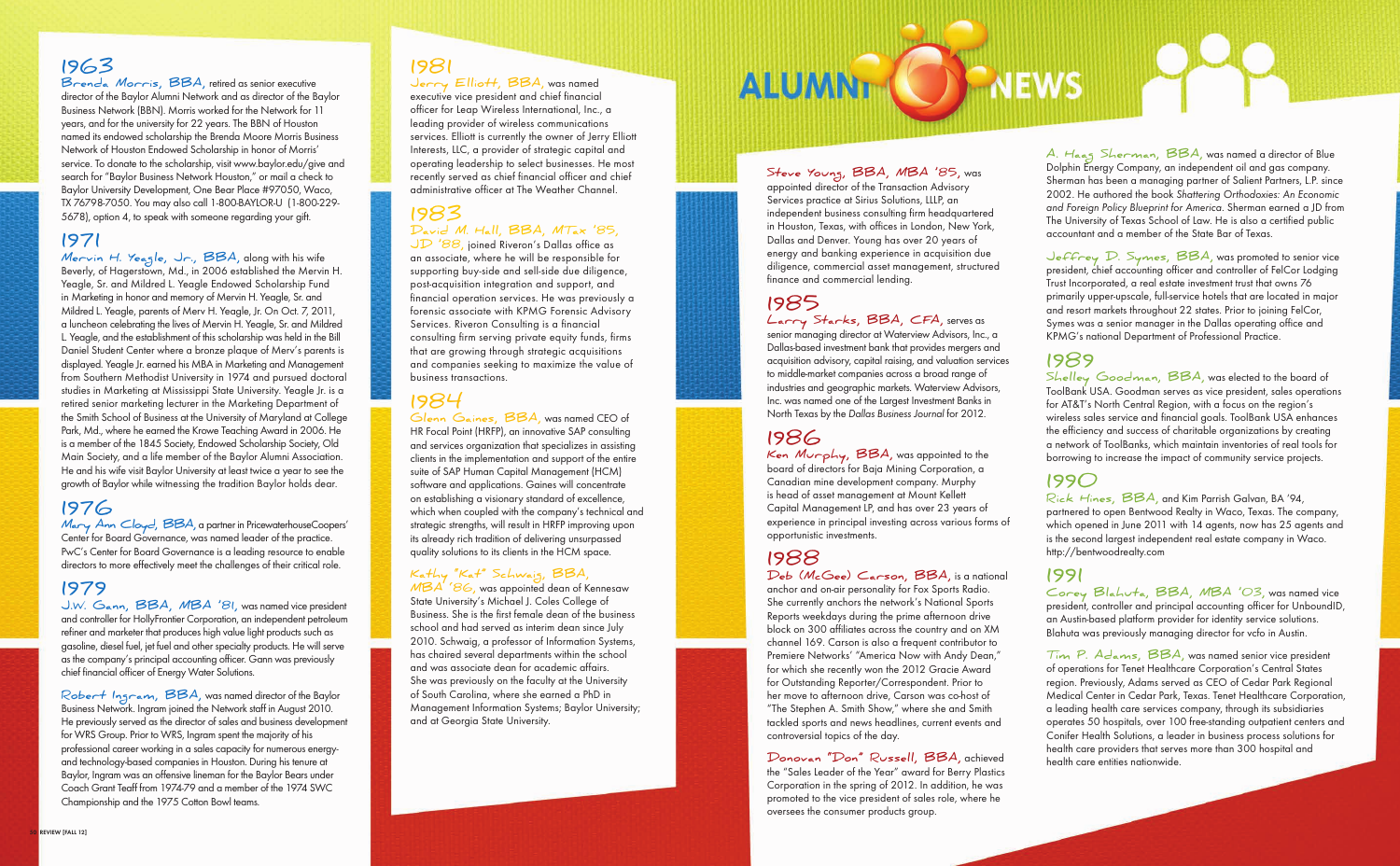**1963**

**Brenda Morris, BBA,** retired as senior executive director of the Baylor Alumni Network and as director of the Baylor Business Network (BBN). Morris worked for the Network for 11 years, and for the university for 22 years. The BBN of Houston named its endowed scholarship the Brenda Moore Morris Business Network of Houston Endowed Scholarship in honor of Morris' service. To donate to the scholarship, visit www.baylor.edu/give and search for "Baylor Business Network Houston," or mail a check to Baylor University Development, One Bear Place #97050, Waco, TX 76798-7050. You may also call 1-800-BAYLOR-U (1-800-229- 5678), option 4, to speak with someone regarding your gift.

### **1971**

**Mervin H. Yeagle, Jr., BBA,** along with his wife Beverly, of Hagerstown, Md., in 2006 established the Mervin H. Yeagle, Sr. and Mildred L. Yeagle Endowed Scholarship Fund in Marketing in honor and memory of Mervin H. Yeagle, Sr. and Mildred L. Yeagle, parents of Merv H. Yeagle, Jr. On Oct. 7, 2011, a luncheon celebrating the lives of Mervin H. Yeagle, Sr. and Mildred L. Yeagle, and the establishment of this scholarship was held in the Bill Daniel Student Center where a bronze plaque of Merv's parents is displayed. Yeagle Jr. earned his MBA in Marketing and Management from Southern Methodist University in 1974 and pursued doctoral studies in Marketing at Mississippi State University. Yeagle Jr. is a retired senior marketing lecturer in the Marketing Department of the Smith School of Business at the University of Maryland at College Park, Md., where he earned the Krowe Teaching Award in 2006. He is a member of the 1845 Society, Endowed Scholarship Society, Old Main Society, and a life member of the Baylor Alumni Association. He and his wife visit Baylor University at least twice a year to see the growth of Baylor while witnessing the tradition Baylor holds dear.

### **1976**

**Mary Ann Cloyd, BBA,** a partner in PricewaterhouseCoopers' Center for Board Governance, was named leader of the practice. PwC's Center for Board Governance is a leading resource to enable directors to more effectively meet the challenges of their critical role.

### **1979**

**J.W. Gann, BBA, MBA '81,** was named vice president and controller for HollyFrontier Corporation, an independent petroleum refiner and marketer that produces high value light products such as gasoline, diesel fuel, jet fuel and other specialty products. He will serve as the company's principal accounting officer. Gann was previously chief financial officer of Energy Water Solutions.

**Robert Ingram, BBA,** was named director of the Baylor Business Network. Ingram joined the Network staff in August 2010. He previously served as the director of sales and business development for WRS Group. Prior to WRS, Ingram spent the majority of his professional career working in a sales capacity for numerous energyand technology-based companies in Houston. During his tenure at Baylor, Ingram was an offensive lineman for the Baylor Bears under Coach Grant Teaff from 1974-79 and a member of the 1974 SWC Championship and the 1975 Cotton Bowl teams.

### **1981**

**Jerry Elliott, BBA,** was named executive vice president and chief financial officer for Leap Wireless International, Inc., a leading provider of wireless communications services. Elliott is currently the owner of Jerry Elliott Interests, LLC, a provider of strategic capital and operating leadership to select businesses. He most recently served as chief financial officer and chief administrative officer at The Weather Channel.

### **1983 David M. Hall, BBA, MTax '85,**

**JD '88,** joined Riveron's Dallas office as an associate, where he will be responsible for supporting buy-side and sell-side due diligence, post-acquisition integration and support, and financial operation services. He was previously a forensic associate with KPMG Forensic Advisory Services. Riveron Consulting is a financial consulting firm serving private equity funds, firms that are growing through strategic acquisitions and companies seeking to maximize the value of business transactions.

## **1984**

**Glenn Gaines, BBA,** was named CEO of HR Focal Point (HRFP), an innovative SAP consulting and services organization that specializes in assisting clients in the implementation and support of the entire suite of SAP Human Capital Management (HCM) software and applications. Gaines will concentrate on establishing a visionary standard of excellence, which when coupled with the company's technical and strategic strengths, will result in HRFP improving upon its already rich tradition of delivering unsurpassed quality solutions to its clients in the HCM space.

#### **Kathy "Kat" Schwaig, BBA,**

**MBA '86,** was appointed dean of Kennesaw State University's Michael J. Coles College of Business. She is the first female dean of the business school and had served as interim dean since July 2010. Schwaig, a professor of Information Systems, has chaired several departments within the school and was associate dean for academic affairs. She was previously on the faculty at the University of South Carolina, where she earned a PhD in Management Information Systems; Baylor University; and at Georgia State University.

# ALUMNT (O) NEWS

**Steve Young, BBA, MBA '85,** was appointed director of the Transaction Advisory Services practice at Sirius Solutions, LLLP, an independent business consulting firm headquartered in Houston, Texas, with offices in London, New York, Dallas and Denver. Young has over 20 years of energy and banking experience in acquisition due diligence, commercial asset management, structured finance and commercial lending.

## **1985**

**Larry Starks, BBA, CFA,** serves as senior managing director at Waterview Advisors, Inc., a Dallas-based investment bank that provides mergers and acquisition advisory, capital raising, and valuation services to middle-market companies across a broad range of industries and geographic markets. Waterview Advisors, Inc. was named one of the Largest Investment Banks in North Texas by the Dallas Business Journal for 2012.

## **1986**

**Ken Murphy, BBA,** was appointed to the board of directors for Baja Mining Corporation, a Canadian mine development company. Murphy is head of asset management at Mount Kellett Capital Management LP, and has over 23 years of experience in principal investing across various forms of opportunistic investments.

## **1988**

**Deb (McGee) Carson, BBA,** is a national anchor and on-air personality for Fox Sports Radio. She currently anchors the network's National Sports Reports weekdays during the prime afternoon drive block on 300 affiliates across the country and on XM channel 169. Carson is also a frequent contributor to Premiere Networks' "America Now with Andy Dean," for which she recently won the 2012 Gracie Award for Outstanding Reporter/Correspondent. Prior to her move to afternoon drive, Carson was co-host of "The Stephen A. Smith Show," where she and Smith tackled sports and news headlines, current events and controversial topics of the day.

**Donovan "Don" Russell, BBA,** achieved the "Sales Leader of the Year" award for Berry Plastics Corporation in the spring of 2012. In addition, he was promoted to the vice president of sales role, where he oversees the consumer products group.

**A. Haag Sherman, BBA,** was named a director of Blue Dolphin Energy Company, an independent oil and gas company. Sherman has been a managing partner of Salient Partners, L.P. since 2002. He authored the book Shattering Orthodoxies: An Economic and Foreign Policy Blueprint for America. Sherman earned a JD from The University of Texas School of Law. He is also a certified public accountant and a member of the State Bar of Texas.

**Jeffrey D. Symes, BBA,** was promoted to senior vice president, chief accounting officer and controller of FelCor Lodging Trust Incorporated, a real estate investment trust that owns 76 primarily upper-upscale, full-service hotels that are located in major and resort markets throughout 22 states. Prior to joining FelCor, Symes was a senior manager in the Dallas operating office and KPMG's national Department of Professional Practice.

**1989 Shelley Goodman, BBA,** was elected to the board of ToolBank USA. Goodman serves as vice president, sales operations for AT&T's North Central Region, with a focus on the region's wireless sales service and financial goals. ToolBank USA enhances the efficiency and success of charitable organizations by creating a network of ToolBanks, which maintain inventories of real tools for borrowing to increase the impact of community service projects.

**1990 Rick Hines, BBA,** and Kim Parrish Galvan, BA '94, partnered to open Bentwood Realty in Waco, Texas. The company, which opened in June 2011 with 14 agents, now has 25 agents and is the second largest independent real estate company in Waco. http://bentwoodrealty.com

**1991 Corey Blahuta, BBA, MBA '03,** was named vice president, controller and principal accounting officer for UnboundID, an Austin-based platform provider for identity service solutions. Blahuta was previously managing director for vcfo in Austin.

**Tim P. Adams, BBA,** was named senior vice president of operations for Tenet Healthcare Corporation's Central States region. Previously, Adams served as CEO of Cedar Park Regional Medical Center in Cedar Park, Texas. Tenet Healthcare Corporation, a leading health care services company, through its subsidiaries operates 50 hospitals, over 100 free-standing outpatient centers and Conifer Health Solutions, a leader in business process solutions for health care providers that serves more than 300 hospital and health care entities nationwide.